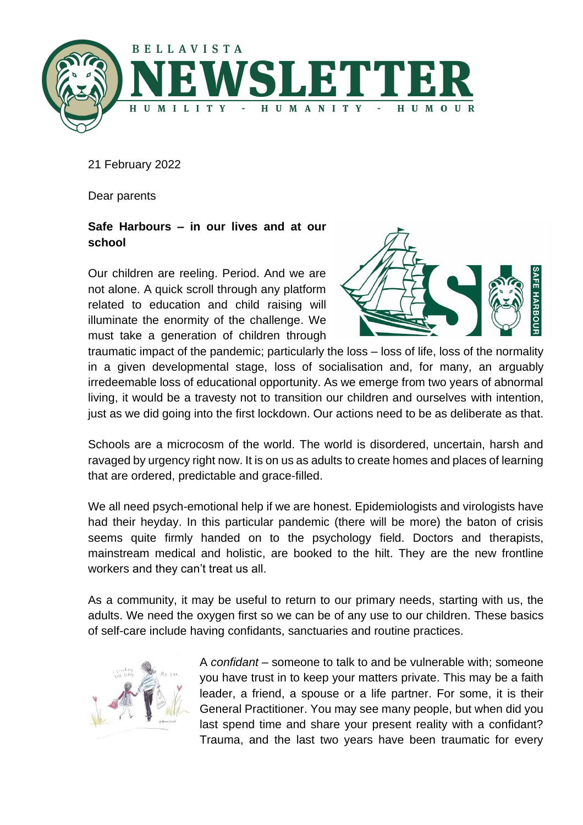

21 February 2022

Dear parents

# **Safe Harbours – in our lives and at our school**

Our children are reeling. Period. And we are not alone. A quick scroll through any platform related to education and child raising will illuminate the enormity of the challenge. We must take a generation of children through



traumatic impact of the pandemic; particularly the loss – loss of life, loss of the normality in a given developmental stage, loss of socialisation and, for many, an arguably irredeemable loss of educational opportunity. As we emerge from two years of abnormal living, it would be a travesty not to transition our children and ourselves with intention, just as we did going into the first lockdown. Our actions need to be as deliberate as that.

Schools are a microcosm of the world. The world is disordered, uncertain, harsh and ravaged by urgency right now. It is on us as adults to create homes and places of learning that are ordered, predictable and grace-filled.

We all need psych-emotional help if we are honest. Epidemiologists and virologists have had their heyday. In this particular pandemic (there will be more) the baton of crisis seems quite firmly handed on to the psychology field. Doctors and therapists, mainstream medical and holistic, are booked to the hilt. They are the new frontline workers and they can't treat us all.

As a community, it may be useful to return to our primary needs, starting with us, the adults. We need the oxygen first so we can be of any use to our children. These basics of self-care include having confidants, sanctuaries and routine practices.



A *confidant* – someone to talk to and be vulnerable with; someone you have trust in to keep your matters private. This may be a faith leader, a friend, a spouse or a life partner. For some, it is their General Practitioner. You may see many people, but when did you last spend time and share your present reality with a confidant? Trauma, and the last two years have been traumatic for every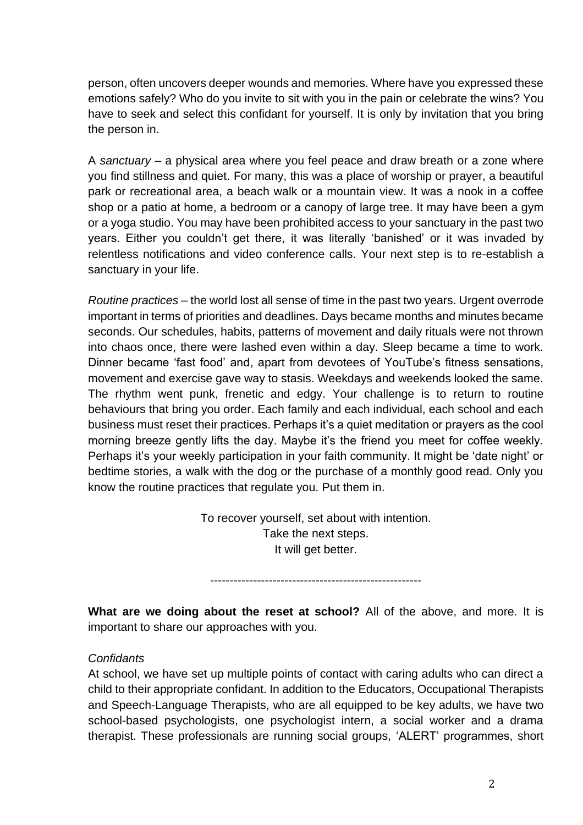person, often uncovers deeper wounds and memories. Where have you expressed these emotions safely? Who do you invite to sit with you in the pain or celebrate the wins? You have to seek and select this confidant for yourself. It is only by invitation that you bring the person in.

A *sanctuary* – a physical area where you feel peace and draw breath or a zone where you find stillness and quiet. For many, this was a place of worship or prayer, a beautiful park or recreational area, a beach walk or a mountain view. It was a nook in a coffee shop or a patio at home, a bedroom or a canopy of large tree. It may have been a gym or a yoga studio. You may have been prohibited access to your sanctuary in the past two years. Either you couldn't get there, it was literally 'banished' or it was invaded by relentless notifications and video conference calls. Your next step is to re-establish a sanctuary in your life.

*Routine practices* – the world lost all sense of time in the past two years. Urgent overrode important in terms of priorities and deadlines. Days became months and minutes became seconds. Our schedules, habits, patterns of movement and daily rituals were not thrown into chaos once, there were lashed even within a day. Sleep became a time to work. Dinner became 'fast food' and, apart from devotees of YouTube's fitness sensations, movement and exercise gave way to stasis. Weekdays and weekends looked the same. The rhythm went punk, frenetic and edgy. Your challenge is to return to routine behaviours that bring you order. Each family and each individual, each school and each business must reset their practices. Perhaps it's a quiet meditation or prayers as the cool morning breeze gently lifts the day. Maybe it's the friend you meet for coffee weekly. Perhaps it's your weekly participation in your faith community. It might be 'date night' or bedtime stories, a walk with the dog or the purchase of a monthly good read. Only you know the routine practices that regulate you. Put them in.

> To recover yourself, set about with intention. Take the next steps. It will get better.

------------------------------------------------------

**What are we doing about the reset at school?** All of the above, and more. It is important to share our approaches with you.

#### *Confidants*

At school, we have set up multiple points of contact with caring adults who can direct a child to their appropriate confidant. In addition to the Educators, Occupational Therapists and Speech-Language Therapists, who are all equipped to be key adults, we have two school-based psychologists, one psychologist intern, a social worker and a drama therapist. These professionals are running social groups, 'ALERT' programmes, short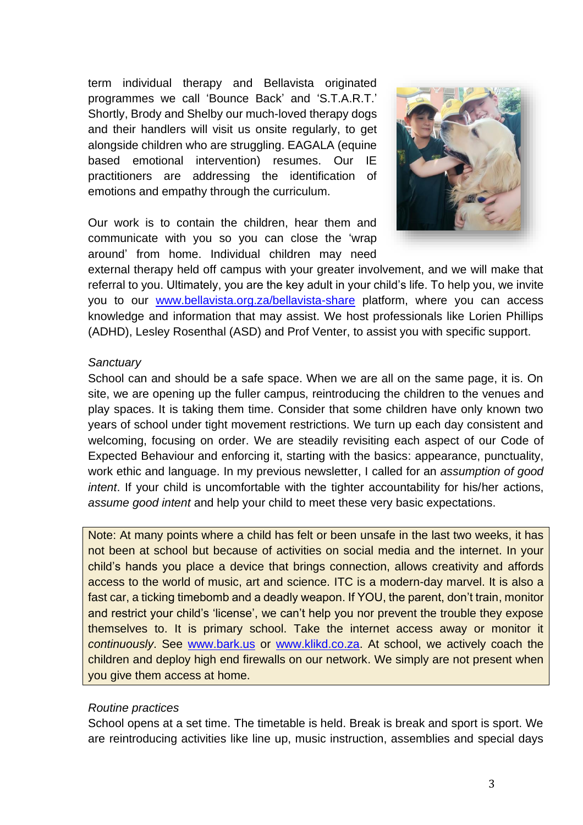term individual therapy and Bellavista originated programmes we call 'Bounce Back' and 'S.T.A.R.T.' Shortly, Brody and Shelby our much-loved therapy dogs and their handlers will visit us onsite regularly, to get alongside children who are struggling. EAGALA (equine based emotional intervention) resumes. Our IE practitioners are addressing the identification of emotions and empathy through the curriculum.

Our work is to contain the children, hear them and communicate with you so you can close the 'wrap around' from home. Individual children may need



external therapy held off campus with your greater involvement, and we will make that referral to you. Ultimately, you are the key adult in your child's life. To help you, we invite you to our [www.bellavista.org.za/bellavista-share](http://www.bellavista.org.za/bellavista-share) platform, where you can access knowledge and information that may assist. We host professionals like Lorien Phillips (ADHD), Lesley Rosenthal (ASD) and Prof Venter, to assist you with specific support.

#### *Sanctuary*

School can and should be a safe space. When we are all on the same page, it is. On site, we are opening up the fuller campus, reintroducing the children to the venues and play spaces. It is taking them time. Consider that some children have only known two years of school under tight movement restrictions. We turn up each day consistent and welcoming, focusing on order. We are steadily revisiting each aspect of our Code of Expected Behaviour and enforcing it, starting with the basics: appearance, punctuality, work ethic and language. In my previous newsletter, I called for an *assumption of good intent*. If your child is uncomfortable with the tighter accountability for his/her actions, *assume good intent* and help your child to meet these very basic expectations.

Note: At many points where a child has felt or been unsafe in the last two weeks, it has not been at school but because of activities on social media and the internet. In your child's hands you place a device that brings connection, allows creativity and affords access to the world of music, art and science. ITC is a modern-day marvel. It is also a fast car, a ticking timebomb and a deadly weapon. If YOU, the parent, don't train, monitor and restrict your child's 'license', we can't help you nor prevent the trouble they expose themselves to. It is primary school. Take the internet access away or monitor it *continuously*. See [www.bark.us](http://www.bark.us/) or [www.klikd.co.za.](http://www.klikd.co.za/) At school, we actively coach the children and deploy high end firewalls on our network. We simply are not present when you give them access at home.

#### *Routine practices*

School opens at a set time. The timetable is held. Break is break and sport is sport. We are reintroducing activities like line up, music instruction, assemblies and special days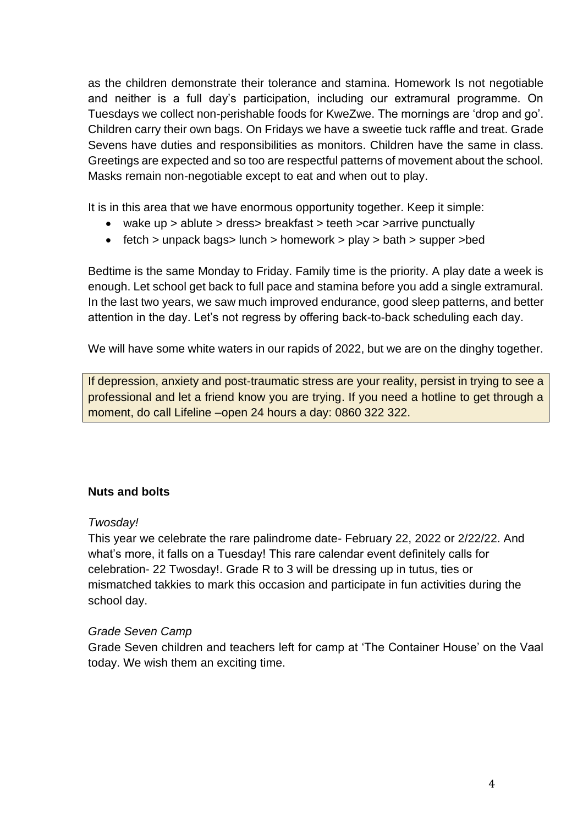as the children demonstrate their tolerance and stamina. Homework Is not negotiable and neither is a full day's participation, including our extramural programme. On Tuesdays we collect non-perishable foods for KweZwe. The mornings are 'drop and go'. Children carry their own bags. On Fridays we have a sweetie tuck raffle and treat. Grade Sevens have duties and responsibilities as monitors. Children have the same in class. Greetings are expected and so too are respectful patterns of movement about the school. Masks remain non-negotiable except to eat and when out to play.

It is in this area that we have enormous opportunity together. Keep it simple:

- wake up > ablute > dress> breakfast > teeth >car >arrive punctually
- fetch > unpack bags> lunch > homework > play > bath > supper >bed

Bedtime is the same Monday to Friday. Family time is the priority. A play date a week is enough. Let school get back to full pace and stamina before you add a single extramural. In the last two years, we saw much improved endurance, good sleep patterns, and better attention in the day. Let's not regress by offering back-to-back scheduling each day.

We will have some white waters in our rapids of 2022, but we are on the dinghy together.

If depression, anxiety and post-traumatic stress are your reality, persist in trying to see a professional and let a friend know you are trying. If you need a hotline to get through a moment, do call Lifeline –open 24 hours a day: 0860 322 322.

## **Nuts and bolts**

#### *Twosday!*

This year we celebrate the rare palindrome date- February 22, 2022 or 2/22/22. And what's more, it falls on a Tuesday! This rare calendar event definitely calls for celebration- 22 Twosday!. Grade R to 3 will be dressing up in tutus, ties or mismatched takkies to mark this occasion and participate in fun activities during the school day.

## *Grade Seven Camp*

Grade Seven children and teachers left for camp at 'The Container House' on the Vaal today. We wish them an exciting time.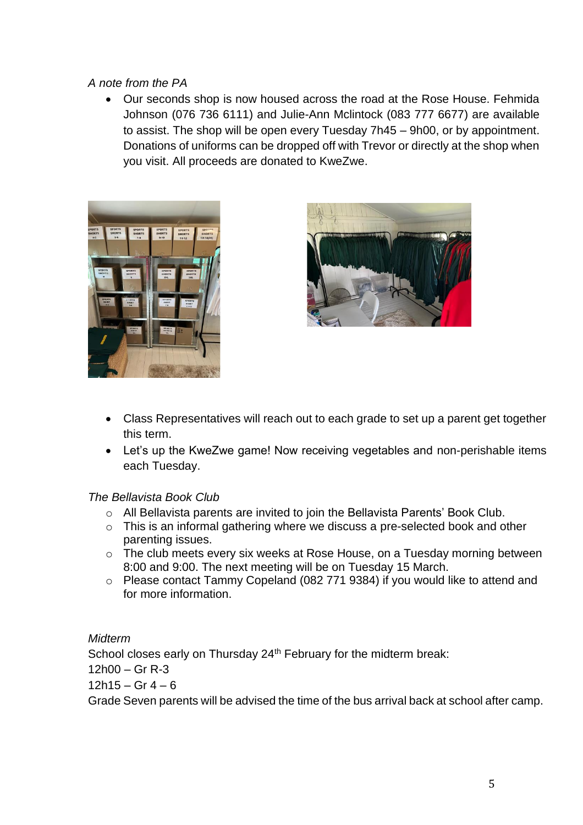# *A note from the PA*

• Our seconds shop is now housed across the road at the Rose House. Fehmida Johnson (076 736 6111) and Julie-Ann Mclintock (083 777 6677) are available to assist. The shop will be open every Tuesday 7h45 – 9h00, or by appointment. Donations of uniforms can be dropped off with Trevor or directly at the shop when you visit. All proceeds are donated to KweZwe.





- Class Representatives will reach out to each grade to set up a parent get together this term.
- Let's up the KweZwe game! Now receiving vegetables and non-perishable items each Tuesday.

## *The Bellavista Book Club*

- o All Bellavista parents are invited to join the Bellavista Parents' Book Club.
- o This is an informal gathering where we discuss a pre-selected book and other parenting issues.
- o The club meets every six weeks at Rose House, on a Tuesday morning between 8:00 and 9:00. The next meeting will be on Tuesday 15 March.
- o Please contact Tammy Copeland (082 771 9384) if you would like to attend and for more information.

*Midterm*

School closes early on Thursday 24<sup>th</sup> February for the midterm break:

12h00 – Gr R-3

 $12h15 - Gr 4 - 6$ 

Grade Seven parents will be advised the time of the bus arrival back at school after camp.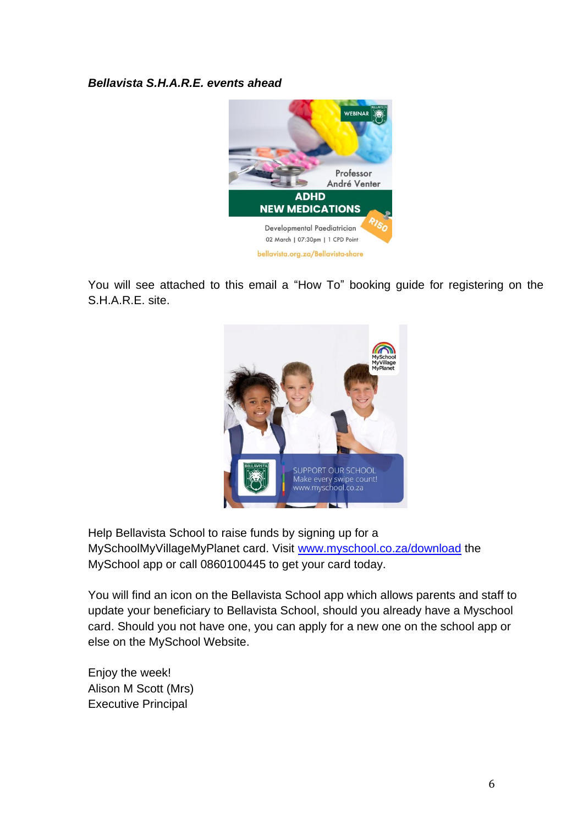## *Bellavista S.H.A.R.E. events ahead*



You will see attached to this email a "How To" booking guide for registering on the S.H.A.R.E. site.



Help Bellavista School to raise funds by signing up for a MySchoolMyVillageMyPlanet card. Visit [www.myschool.co.za/download](http://www.myschool.co.za/download) the MySchool app or call 0860100445 to get your card today.

You will find an icon on the Bellavista School app which allows parents and staff to update your beneficiary to Bellavista School, should you already have a Myschool card. Should you not have one, you can apply for a new one on the school app or else on the MySchool Website.

Enjoy the week! Alison M Scott (Mrs) Executive Principal